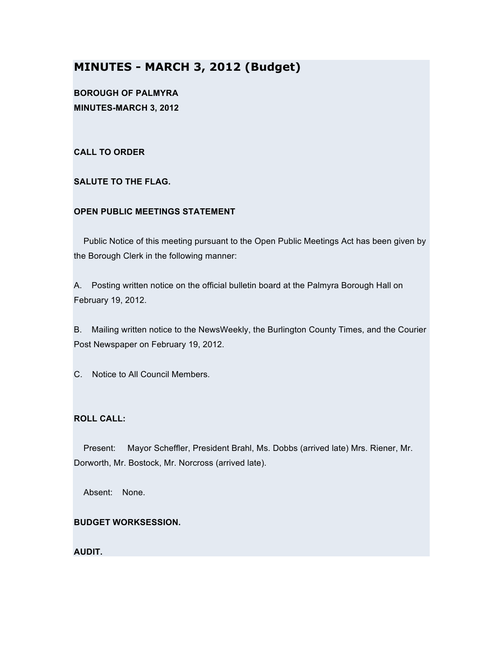# **MINUTES - MARCH 3, 2012 (Budget)**

**BOROUGH OF PALMYRA MINUTES-MARCH 3, 2012**

**CALL TO ORDER**

**SALUTE TO THE FLAG.**

## **OPEN PUBLIC MEETINGS STATEMENT**

Public Notice of this meeting pursuant to the Open Public Meetings Act has been given by the Borough Clerk in the following manner:

A. Posting written notice on the official bulletin board at the Palmyra Borough Hall on February 19, 2012.

B. Mailing written notice to the NewsWeekly, the Burlington County Times, and the Courier Post Newspaper on February 19, 2012.

C. Notice to All Council Members.

## **ROLL CALL:**

Present: Mayor Scheffler, President Brahl, Ms. Dobbs (arrived late) Mrs. Riener, Mr. Dorworth, Mr. Bostock, Mr. Norcross (arrived late).

Absent: None.

## **BUDGET WORKSESSION.**

## **AUDIT.**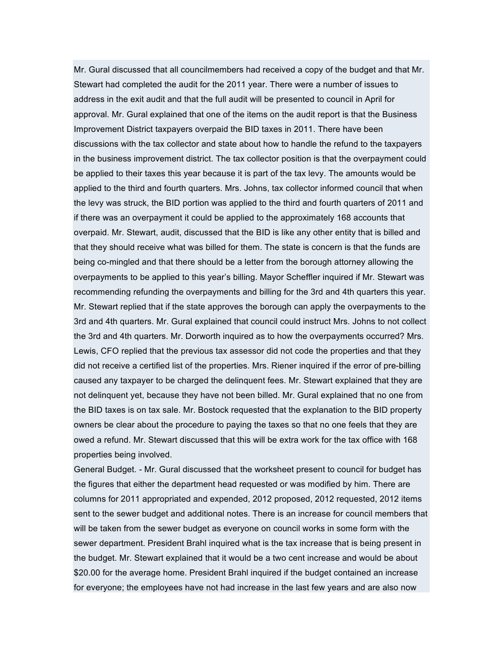Mr. Gural discussed that all councilmembers had received a copy of the budget and that Mr. Stewart had completed the audit for the 2011 year. There were a number of issues to address in the exit audit and that the full audit will be presented to council in April for approval. Mr. Gural explained that one of the items on the audit report is that the Business Improvement District taxpayers overpaid the BID taxes in 2011. There have been discussions with the tax collector and state about how to handle the refund to the taxpayers in the business improvement district. The tax collector position is that the overpayment could be applied to their taxes this year because it is part of the tax levy. The amounts would be applied to the third and fourth quarters. Mrs. Johns, tax collector informed council that when the levy was struck, the BID portion was applied to the third and fourth quarters of 2011 and if there was an overpayment it could be applied to the approximately 168 accounts that overpaid. Mr. Stewart, audit, discussed that the BID is like any other entity that is billed and that they should receive what was billed for them. The state is concern is that the funds are being co-mingled and that there should be a letter from the borough attorney allowing the overpayments to be applied to this year's billing. Mayor Scheffler inquired if Mr. Stewart was recommending refunding the overpayments and billing for the 3rd and 4th quarters this year. Mr. Stewart replied that if the state approves the borough can apply the overpayments to the 3rd and 4th quarters. Mr. Gural explained that council could instruct Mrs. Johns to not collect the 3rd and 4th quarters. Mr. Dorworth inquired as to how the overpayments occurred? Mrs. Lewis, CFO replied that the previous tax assessor did not code the properties and that they did not receive a certified list of the properties. Mrs. Riener inquired if the error of pre-billing caused any taxpayer to be charged the delinquent fees. Mr. Stewart explained that they are not delinquent yet, because they have not been billed. Mr. Gural explained that no one from the BID taxes is on tax sale. Mr. Bostock requested that the explanation to the BID property owners be clear about the procedure to paying the taxes so that no one feels that they are owed a refund. Mr. Stewart discussed that this will be extra work for the tax office with 168 properties being involved.

General Budget. - Mr. Gural discussed that the worksheet present to council for budget has the figures that either the department head requested or was modified by him. There are columns for 2011 appropriated and expended, 2012 proposed, 2012 requested, 2012 items sent to the sewer budget and additional notes. There is an increase for council members that will be taken from the sewer budget as everyone on council works in some form with the sewer department. President Brahl inquired what is the tax increase that is being present in the budget. Mr. Stewart explained that it would be a two cent increase and would be about \$20.00 for the average home. President Brahl inquired if the budget contained an increase for everyone; the employees have not had increase in the last few years and are also now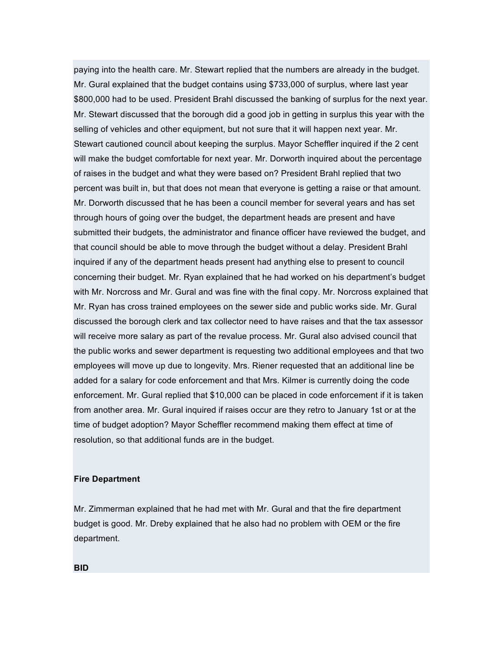paying into the health care. Mr. Stewart replied that the numbers are already in the budget. Mr. Gural explained that the budget contains using \$733,000 of surplus, where last year \$800,000 had to be used. President Brahl discussed the banking of surplus for the next year. Mr. Stewart discussed that the borough did a good job in getting in surplus this year with the selling of vehicles and other equipment, but not sure that it will happen next year. Mr. Stewart cautioned council about keeping the surplus. Mayor Scheffler inquired if the 2 cent will make the budget comfortable for next year. Mr. Dorworth inquired about the percentage of raises in the budget and what they were based on? President Brahl replied that two percent was built in, but that does not mean that everyone is getting a raise or that amount. Mr. Dorworth discussed that he has been a council member for several years and has set through hours of going over the budget, the department heads are present and have submitted their budgets, the administrator and finance officer have reviewed the budget, and that council should be able to move through the budget without a delay. President Brahl inquired if any of the department heads present had anything else to present to council concerning their budget. Mr. Ryan explained that he had worked on his department's budget with Mr. Norcross and Mr. Gural and was fine with the final copy. Mr. Norcross explained that Mr. Ryan has cross trained employees on the sewer side and public works side. Mr. Gural discussed the borough clerk and tax collector need to have raises and that the tax assessor will receive more salary as part of the revalue process. Mr. Gural also advised council that the public works and sewer department is requesting two additional employees and that two employees will move up due to longevity. Mrs. Riener requested that an additional line be added for a salary for code enforcement and that Mrs. Kilmer is currently doing the code enforcement. Mr. Gural replied that \$10,000 can be placed in code enforcement if it is taken from another area. Mr. Gural inquired if raises occur are they retro to January 1st or at the time of budget adoption? Mayor Scheffler recommend making them effect at time of resolution, so that additional funds are in the budget.

#### **Fire Department**

Mr. Zimmerman explained that he had met with Mr. Gural and that the fire department budget is good. Mr. Dreby explained that he also had no problem with OEM or the fire department.

**BID**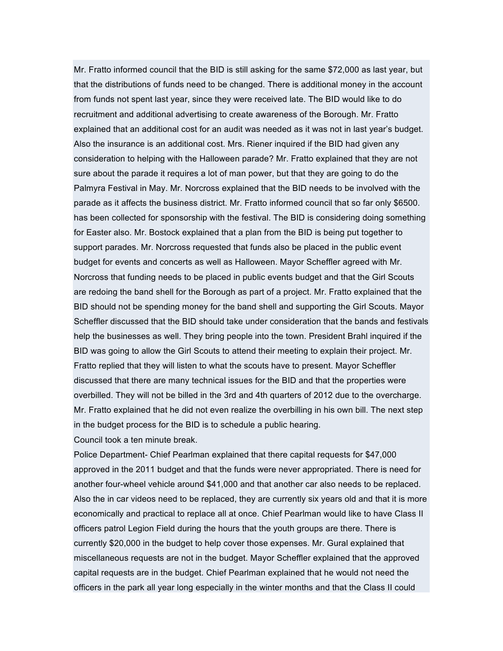Mr. Fratto informed council that the BID is still asking for the same \$72,000 as last year, but that the distributions of funds need to be changed. There is additional money in the account from funds not spent last year, since they were received late. The BID would like to do recruitment and additional advertising to create awareness of the Borough. Mr. Fratto explained that an additional cost for an audit was needed as it was not in last year's budget. Also the insurance is an additional cost. Mrs. Riener inquired if the BID had given any consideration to helping with the Halloween parade? Mr. Fratto explained that they are not sure about the parade it requires a lot of man power, but that they are going to do the Palmyra Festival in May. Mr. Norcross explained that the BID needs to be involved with the parade as it affects the business district. Mr. Fratto informed council that so far only \$6500. has been collected for sponsorship with the festival. The BID is considering doing something for Easter also. Mr. Bostock explained that a plan from the BID is being put together to support parades. Mr. Norcross requested that funds also be placed in the public event budget for events and concerts as well as Halloween. Mayor Scheffler agreed with Mr. Norcross that funding needs to be placed in public events budget and that the Girl Scouts are redoing the band shell for the Borough as part of a project. Mr. Fratto explained that the BID should not be spending money for the band shell and supporting the Girl Scouts. Mayor Scheffler discussed that the BID should take under consideration that the bands and festivals help the businesses as well. They bring people into the town. President Brahl inquired if the BID was going to allow the Girl Scouts to attend their meeting to explain their project. Mr. Fratto replied that they will listen to what the scouts have to present. Mayor Scheffler discussed that there are many technical issues for the BID and that the properties were overbilled. They will not be billed in the 3rd and 4th quarters of 2012 due to the overcharge. Mr. Fratto explained that he did not even realize the overbilling in his own bill. The next step in the budget process for the BID is to schedule a public hearing. Council took a ten minute break.

Police Department- Chief Pearlman explained that there capital requests for \$47,000 approved in the 2011 budget and that the funds were never appropriated. There is need for another four-wheel vehicle around \$41,000 and that another car also needs to be replaced. Also the in car videos need to be replaced, they are currently six years old and that it is more economically and practical to replace all at once. Chief Pearlman would like to have Class II officers patrol Legion Field during the hours that the youth groups are there. There is currently \$20,000 in the budget to help cover those expenses. Mr. Gural explained that miscellaneous requests are not in the budget. Mayor Scheffler explained that the approved capital requests are in the budget. Chief Pearlman explained that he would not need the officers in the park all year long especially in the winter months and that the Class II could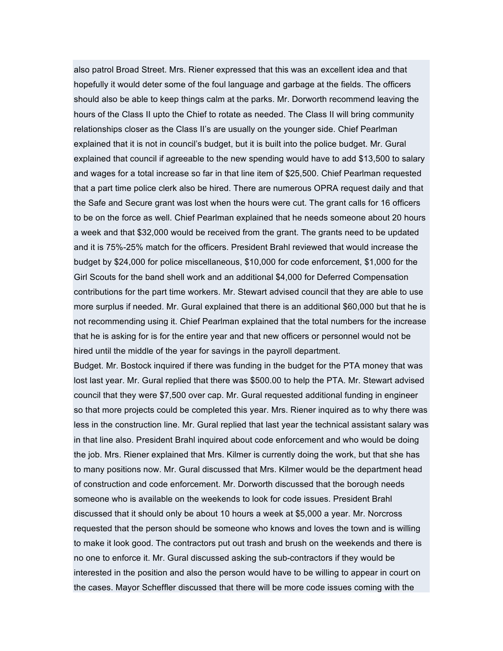also patrol Broad Street. Mrs. Riener expressed that this was an excellent idea and that hopefully it would deter some of the foul language and garbage at the fields. The officers should also be able to keep things calm at the parks. Mr. Dorworth recommend leaving the hours of the Class II upto the Chief to rotate as needed. The Class II will bring community relationships closer as the Class II's are usually on the younger side. Chief Pearlman explained that it is not in council's budget, but it is built into the police budget. Mr. Gural explained that council if agreeable to the new spending would have to add \$13,500 to salary and wages for a total increase so far in that line item of \$25,500. Chief Pearlman requested that a part time police clerk also be hired. There are numerous OPRA request daily and that the Safe and Secure grant was lost when the hours were cut. The grant calls for 16 officers to be on the force as well. Chief Pearlman explained that he needs someone about 20 hours a week and that \$32,000 would be received from the grant. The grants need to be updated and it is 75%-25% match for the officers. President Brahl reviewed that would increase the budget by \$24,000 for police miscellaneous, \$10,000 for code enforcement, \$1,000 for the Girl Scouts for the band shell work and an additional \$4,000 for Deferred Compensation contributions for the part time workers. Mr. Stewart advised council that they are able to use more surplus if needed. Mr. Gural explained that there is an additional \$60,000 but that he is not recommending using it. Chief Pearlman explained that the total numbers for the increase that he is asking for is for the entire year and that new officers or personnel would not be hired until the middle of the year for savings in the payroll department.

Budget. Mr. Bostock inquired if there was funding in the budget for the PTA money that was lost last year. Mr. Gural replied that there was \$500.00 to help the PTA. Mr. Stewart advised council that they were \$7,500 over cap. Mr. Gural requested additional funding in engineer so that more projects could be completed this year. Mrs. Riener inquired as to why there was less in the construction line. Mr. Gural replied that last year the technical assistant salary was in that line also. President Brahl inquired about code enforcement and who would be doing the job. Mrs. Riener explained that Mrs. Kilmer is currently doing the work, but that she has to many positions now. Mr. Gural discussed that Mrs. Kilmer would be the department head of construction and code enforcement. Mr. Dorworth discussed that the borough needs someone who is available on the weekends to look for code issues. President Brahl discussed that it should only be about 10 hours a week at \$5,000 a year. Mr. Norcross requested that the person should be someone who knows and loves the town and is willing to make it look good. The contractors put out trash and brush on the weekends and there is no one to enforce it. Mr. Gural discussed asking the sub-contractors if they would be interested in the position and also the person would have to be willing to appear in court on the cases. Mayor Scheffler discussed that there will be more code issues coming with the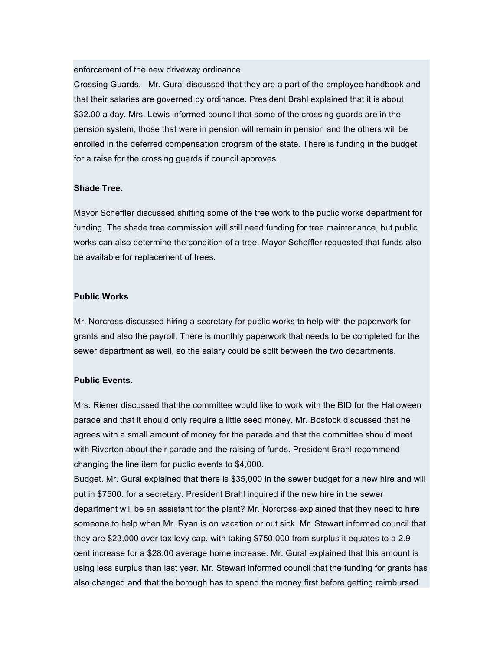enforcement of the new driveway ordinance.

Crossing Guards. Mr. Gural discussed that they are a part of the employee handbook and that their salaries are governed by ordinance. President Brahl explained that it is about \$32.00 a day. Mrs. Lewis informed council that some of the crossing guards are in the pension system, those that were in pension will remain in pension and the others will be enrolled in the deferred compensation program of the state. There is funding in the budget for a raise for the crossing guards if council approves.

#### **Shade Tree.**

Mayor Scheffler discussed shifting some of the tree work to the public works department for funding. The shade tree commission will still need funding for tree maintenance, but public works can also determine the condition of a tree. Mayor Scheffler requested that funds also be available for replacement of trees.

#### **Public Works**

Mr. Norcross discussed hiring a secretary for public works to help with the paperwork for grants and also the payroll. There is monthly paperwork that needs to be completed for the sewer department as well, so the salary could be split between the two departments.

## **Public Events.**

Mrs. Riener discussed that the committee would like to work with the BID for the Halloween parade and that it should only require a little seed money. Mr. Bostock discussed that he agrees with a small amount of money for the parade and that the committee should meet with Riverton about their parade and the raising of funds. President Brahl recommend changing the line item for public events to \$4,000.

Budget. Mr. Gural explained that there is \$35,000 in the sewer budget for a new hire and will put in \$7500. for a secretary. President Brahl inquired if the new hire in the sewer department will be an assistant for the plant? Mr. Norcross explained that they need to hire someone to help when Mr. Ryan is on vacation or out sick. Mr. Stewart informed council that they are \$23,000 over tax levy cap, with taking \$750,000 from surplus it equates to a 2.9 cent increase for a \$28.00 average home increase. Mr. Gural explained that this amount is using less surplus than last year. Mr. Stewart informed council that the funding for grants has also changed and that the borough has to spend the money first before getting reimbursed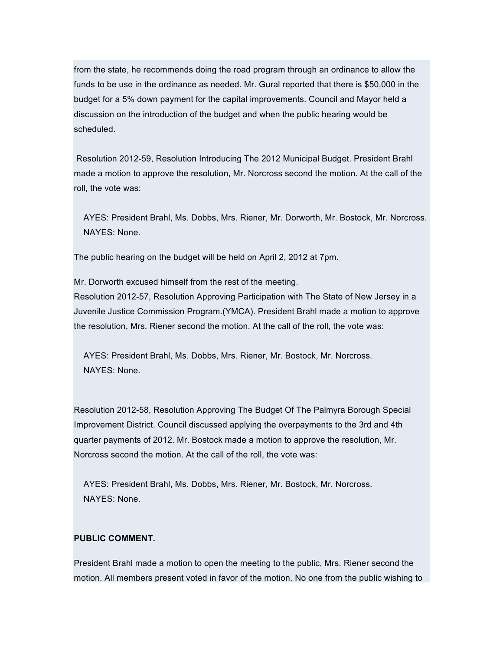from the state, he recommends doing the road program through an ordinance to allow the funds to be use in the ordinance as needed. Mr. Gural reported that there is \$50,000 in the budget for a 5% down payment for the capital improvements. Council and Mayor held a discussion on the introduction of the budget and when the public hearing would be scheduled.

Resolution 2012-59, Resolution Introducing The 2012 Municipal Budget. President Brahl made a motion to approve the resolution, Mr. Norcross second the motion. At the call of the roll, the vote was:

AYES: President Brahl, Ms. Dobbs, Mrs. Riener, Mr. Dorworth, Mr. Bostock, Mr. Norcross. NAYES: None.

The public hearing on the budget will be held on April 2, 2012 at 7pm.

Mr. Dorworth excused himself from the rest of the meeting. Resolution 2012-57, Resolution Approving Participation with The State of New Jersey in a Juvenile Justice Commission Program.(YMCA). President Brahl made a motion to approve the resolution, Mrs. Riener second the motion. At the call of the roll, the vote was:

AYES: President Brahl, Ms. Dobbs, Mrs. Riener, Mr. Bostock, Mr. Norcross. NAYES: None.

Resolution 2012-58, Resolution Approving The Budget Of The Palmyra Borough Special Improvement District. Council discussed applying the overpayments to the 3rd and 4th quarter payments of 2012. Mr. Bostock made a motion to approve the resolution, Mr. Norcross second the motion. At the call of the roll, the vote was:

AYES: President Brahl, Ms. Dobbs, Mrs. Riener, Mr. Bostock, Mr. Norcross. NAYES: None.

## **PUBLIC COMMENT.**

President Brahl made a motion to open the meeting to the public, Mrs. Riener second the motion. All members present voted in favor of the motion. No one from the public wishing to